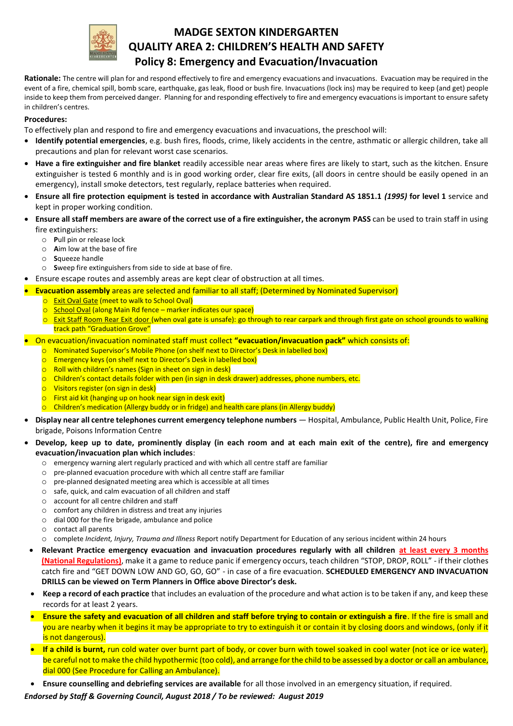

# **MADGE SEXTON KINDERGARTEN QUALITY AREA 2: CHILDREN'S HEALTH AND SAFETY Policy 8: Emergency and Evacuation/Invacuation**

**Rationale:** The centre will plan for and respond effectively to fire and emergency evacuations and invacuations. Evacuation may be required in the event of a fire, chemical spill, bomb scare, earthquake, gas leak, flood or bush fire. Invacuations (lock ins) may be required to keep (and get) people inside to keep them from perceived danger. Planning for and responding effectively to fire and emergency evacuations is important to ensure safety in children's centres.

#### **Procedures:**

To effectively plan and respond to fire and emergency evacuations and invacuations, the preschool will:

- **Identify potential emergencies**, e.g. bush fires, floods, crime, likely accidents in the centre, asthmatic or allergic children, take all precautions and plan for relevant worst case scenarios.
- **Have a fire extinguisher and fire blanket** readily accessible near areas where fires are likely to start, such as the kitchen. Ensure extinguisher is tested 6 monthly and is in good working order, clear fire exits, (all doors in centre should be easily opened in an emergency), install smoke detectors, test regularly, replace batteries when required.
- **Ensure all fire protection equipment is tested in accordance with Australian Standard AS 1851.1** *(1995)* **for level 1** service and kept in proper working condition.
- **Ensure all staff members are aware of the correct use of a fire extinguisher, the acronym PASS** can be used to train staff in using fire extinguishers:
	- o **P**ull pin or release lock
	- o **A**im low at the base of fire
	- o **S**queeze handle
	- o **S**weep fire extinguishers from side to side at base of fire.
- Ensure escape routes and assembly areas are kept clear of obstruction at all times.
- **Evacuation assembly** areas are selected and familiar to all staff; (Determined by Nominated Supervisor)
	- **O** Exit Oval Gate (meet to walk to School Oval)
	- o School Oval (along Main Rd fence marker indicates our space)
	- $\circ$  Exit Staff Room Rear Exit door (when oval gate is unsafe): go through to rear carpark and through first gate on school grounds to walking track path "Graduation Grove"
- On evacuation/invacuation nominated staff must collect **"evacuation/invacuation pack"** which consists of:
	- o Nominated Supervisor's Mobile Phone (on shelf next to Director's Desk in labelled box)
	- o Emergency keys (on shelf next to Director's Desk in labelled box)
	- o Roll with children's names (Sign in sheet on sign in desk)
	- o Children's contact details folder with pen (in sign in desk drawer) addresses, phone numbers, etc.
	- o Visitors register (on sign in desk)
	- First aid kit (hanging up on hook near sign in desk exit)
	- Children's medication (Allergy buddy or in fridge) and health care plans (in Allergy buddy)
- **Display near all centre telephones current emergency telephone numbers**  Hospital, Ambulance, Public Health Unit, Police, Fire brigade, Poisons Information Centre
- **Develop, keep up to date, prominently display (in each room and at each main exit of the centre), fire and emergency evacuation/invacuation plan which includes**:
	- o emergency warning alert regularly practiced and with which all centre staff are familiar
	- o pre-planned evacuation procedure with which all centre staff are familiar
	- o pre-planned designated meeting area which is accessible at all times
	- o safe, quick, and calm evacuation of all children and staff
	- o account for all centre children and staff
	- o comfort any children in distress and treat any injuries
	- o dial 000 for the fire brigade, ambulance and police
	- o contact all parents
	- o complete *Incident, Injury, Trauma and Illness* Report notify Department for Education of any serious incident within 24 hours
	- **Relevant Practice emergency evacuation and invacuation procedures regularly with all children at least every 3 months (National Regulations)**, make it a game to reduce panic if emergency occurs, teach children "STOP, DROP, ROLL" - if their clothes catch fire and "GET DOWN LOW AND GO, GO, GO" - in case of a fire evacuation. **SCHEDULED EMERGENCY AND INVACUATION DRILLS can be viewed on Term Planners in Office above Director's desk.**
	- **Keep a record of each practice** that includes an evaluation of the procedure and what action is to be taken if any, and keep these records for at least 2 years.
	- **Ensure the safety and evacuation of all children and staff before trying to contain or extinguish a fire**. If the fire is small and you are nearby when it begins it may be appropriate to try to extinguish it or contain it by closing doors and windows, (only if it is not dangerous).
	- **If a child is burnt,** run cold water over burnt part of body, or cover burn with towel soaked in cool water (not ice or ice water), be careful not to make the child hypothermic (too cold), and arrange for the child to be assessed by a doctor or call an ambulance, dial 000 (See Procedure for Calling an Ambulance).
- **Ensure counselling and debriefing services are available** for all those involved in an emergency situation, if required.

*Endorsed by Staff & Governing Council, August 2018 / To be reviewed: August 2019*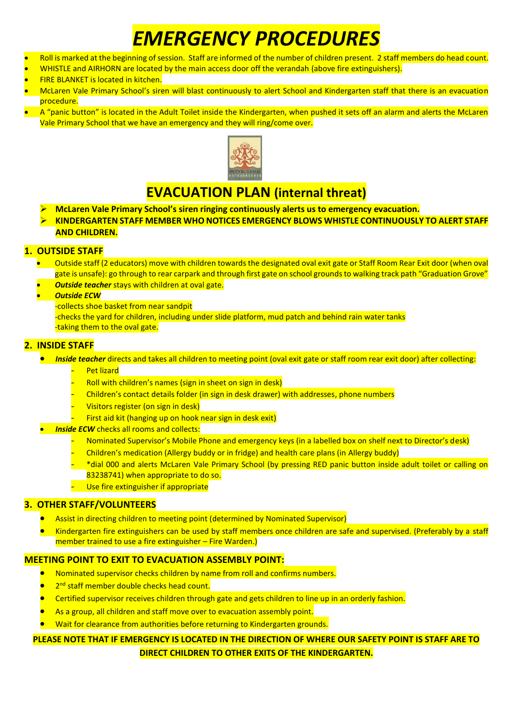# *EMERGENCY PROCEDURES*

- Roll is marked at the beginning of session. Staff are informed of the number of children present. 2 staff members do head count.
- WHISTLE and AIRHORN are located by the main access door off the verandah (above fire extinguishers).
- FIRE BLANKET is located in kitchen.
- McLaren Vale Primary School's siren will blast continuously to alert School and Kindergarten staff that there is an evacuation procedure.
- A "panic button" is located in the Adult Toilet inside the Kindergarten, when pushed it sets off an alarm and alerts the McLaren Vale Primary School that we have an emergency and they will ring/come over.



# **EVACUATION PLAN (internal threat)**

- **McLaren Vale Primary School's siren ringing continuously alerts us to emergency evacuation.**
- **KINDERGARTEN STAFF MEMBER WHO NOTICES EMERGENCY BLOWS WHISTLE CONTINUOUSLY TO ALERT STAFF AND CHILDREN.**

### **1. OUTSIDE STAFF**

- Outside staff (2 educators) move with children towards the designated oval exit gate or Staff Room Rear Exit door (when oval gate is unsafe): go through to rear carpark and through first gate on school grounds to walking track path "Graduation Grove"
	- *Outside teacher* stays with children at oval gate.
- *Outside ECW*
	- -collects shoe basket from near sandpit
	- -checks the yard for children, including under slide platform, mud patch and behind rain water tanks -taking them to the oval gate.

### **2. INSIDE STAFF**

*Inside teacher* directs and takes all children to meeting point (oval exit gate or staff room rear exit door) after collecting:

- **Pet lizard**
- Roll with children's names (sign in sheet on sign in desk)
- Children's contact details folder (in sign in desk drawer) with addresses, phone numbers
- Visitors register (on sign in desk)
- First aid kit (hanging up on hook near sign in desk exit)
- **Inside ECW** checks all rooms and collects:
	- Nominated Supervisor's Mobile Phone and emergency keys (in a labelled box on shelf next to Director's desk)
	- Children's medication (Allergy buddy or in fridge) and health care plans (in Allergy buddy)
	- \*dial 000 and alerts McLaren Vale Primary School (by pressing RED panic button inside adult toilet or calling on 83238741) when appropriate to do so.
	- Use fire extinguisher if appropriate

#### **3. OTHER STAFF/VOLUNTEERS**

- Assist in directing children to meeting point (determined by Nominated Supervisor)
- Kindergarten fire extinguishers can be used by staff members once children are safe and supervised. (Preferably by a staff member trained to use a fire extinguisher – Fire Warden.)

## **MEETING POINT TO EXIT TO EVACUATION ASSEMBLY POINT:**

- Nominated supervisor checks children by name from roll and confirms numbers.
- **•** 2<sup>nd</sup> staff member double checks head count.
- **•** Certified supervisor receives children through gate and gets children to line up in an orderly fashion.
- As a group, all children and staff move over to evacuation assembly point.
- Wait for clearance from authorities before returning to Kindergarten grounds.

## **PLEASE NOTE THAT IF EMERGENCY IS LOCATED IN THE DIRECTION OF WHERE OUR SAFETY POINT IS STAFF ARE TO DIRECT CHILDREN TO OTHER EXITS OF THE KINDERGARTEN.**